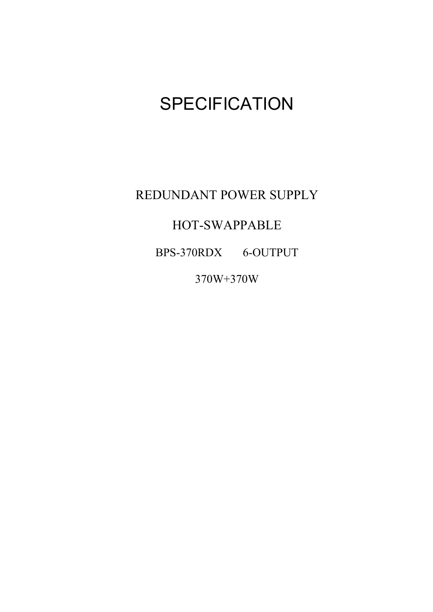# **SPECIFICATION**

REDUNDANT POWER SUPPLY

HOT-SWAPPABLE

BPS-370RDX 6-OUTPUT

370W+370W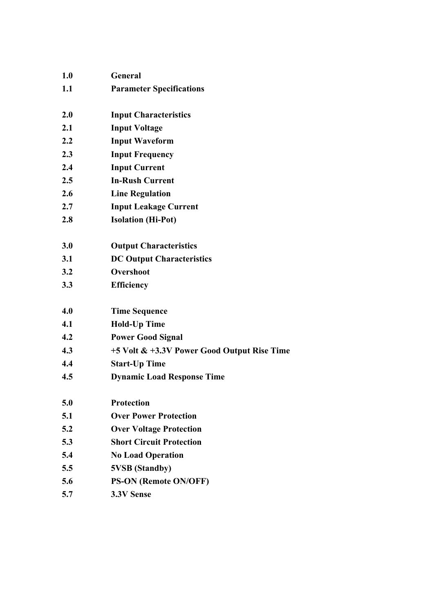| 1.0 | General                                     |
|-----|---------------------------------------------|
| 1.1 | <b>Parameter Specifications</b>             |
| 2.0 | <b>Input Characteristics</b>                |
| 2.1 | <b>Input Voltage</b>                        |
| 2.2 | <b>Input Waveform</b>                       |
| 2.3 | <b>Input Frequency</b>                      |
| 2.4 | <b>Input Current</b>                        |
| 2.5 | <b>In-Rush Current</b>                      |
| 2.6 | <b>Line Regulation</b>                      |
| 2.7 | <b>Input Leakage Current</b>                |
| 2.8 | <b>Isolation (Hi-Pot)</b>                   |
|     |                                             |
| 3.0 | <b>Output Characteristics</b>               |
| 3.1 | <b>DC Output Characteristics</b>            |
| 3.2 | Overshoot                                   |
| 3.3 | <b>Efficiency</b>                           |
|     |                                             |
| 4.0 | <b>Time Sequence</b>                        |
| 4.1 | <b>Hold-Up Time</b>                         |
| 4.2 | <b>Power Good Signal</b>                    |
| 4.3 | +5 Volt & +3.3V Power Good Output Rise Time |
| 4.4 | <b>Start-Up Time</b>                        |
| 4.5 | <b>Dynamic Load Response Time</b>           |
|     |                                             |
| 5.0 | <b>Protection</b>                           |
| 5.1 | <b>Over Power Protection</b>                |
| 5.2 | <b>Over Voltage Protection</b>              |
| 5.3 | <b>Short Circuit Protection</b>             |
| 5.4 | <b>No Load Operation</b>                    |
| 5.5 | <b>5VSB</b> (Standby)                       |
| 5.6 | <b>PS-ON (Remote ON/OFF)</b>                |
| 5.7 | 3.3V Sense                                  |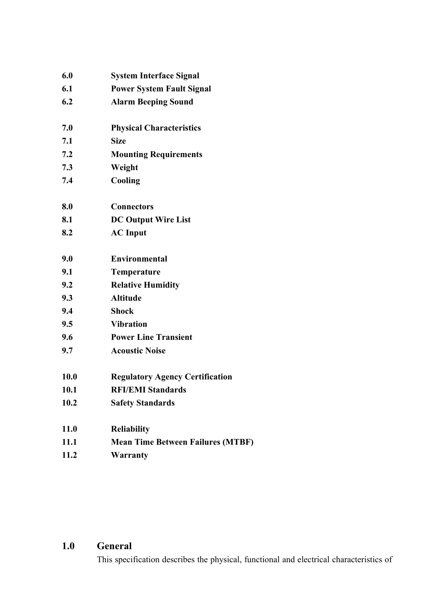| 6.0         | <b>System Interface Signal</b>           |
|-------------|------------------------------------------|
| 6.1         | <b>Power System Fault Signal</b>         |
| 6.2         | <b>Alarm Beeping Sound</b>               |
| 7.0         | <b>Physical Characteristics</b>          |
| 7.1         | <b>Size</b>                              |
| 7.2         | <b>Mounting Requirements</b>             |
| 7.3         | Weight                                   |
| 7.4         | Cooling                                  |
| 8.0         | <b>Connectors</b>                        |
| 8.1         | <b>DC Output Wire List</b>               |
| 8.2         | <b>AC</b> Input                          |
| 9.0         | <b>Environmental</b>                     |
| 9.1         | Temperature                              |
| 9.2         | <b>Relative Humidity</b>                 |
| 9.3         | <b>Altitude</b>                          |
| 9.4         | <b>Shock</b>                             |
| 9.5         | <b>Vibration</b>                         |
| 9.6         | <b>Power Line Transient</b>              |
| 9.7         | <b>Acoustic Noise</b>                    |
| 10.0        | <b>Regulatory Agency Certification</b>   |
| 10.1        | <b>RFI/EMI Standards</b>                 |
| 10.2        | <b>Safety Standards</b>                  |
| <b>11.0</b> | <b>Reliability</b>                       |
| 11.1        | <b>Mean Time Between Failures (MTBF)</b> |
| 11.2        | <b>Warranty</b>                          |

### **1.0 General**

This specification describes the physical, functional and electrical characteristics of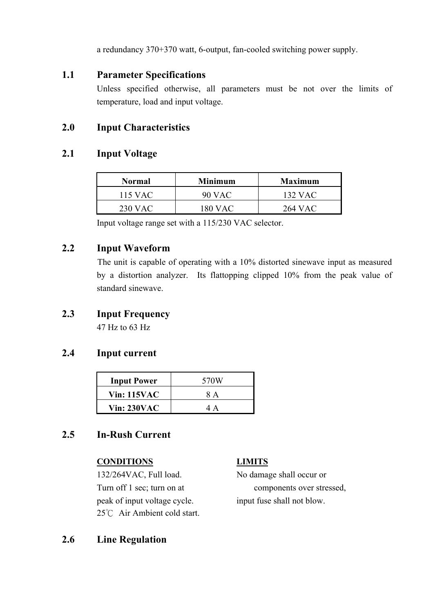a redundancy 370+370 watt, 6-output, fan-cooled switching power supply.

#### **1.1 Parameter Specifications**

Unless specified otherwise, all parameters must be not over the limits of temperature, load and input voltage.

#### **2.0 Input Characteristics**

#### **2.1 Input Voltage**

| <b>Normal</b> | Minimum   | <b>Maximum</b> |
|---------------|-----------|----------------|
| 115 VAC       | 90 VAC    | 132 VAC        |
| 230 VAC       | $180$ VAC | 264 VAC        |

Input voltage range set with a 115/230 VAC selector.

#### **2.2 Input Waveform**

The unit is capable of operating with a 10% distorted sinewave input as measured by a distortion analyzer. Its flattopping clipped 10% from the peak value of standard sinewave.

### **2.3 Input Frequency**

47 Hz to 63 Hz

#### **2.4 Input current**

| <b>Input Power</b> | 570W |
|--------------------|------|
| <b>Vin: 115VAC</b> | 8 A  |
| <b>Vin: 230VAC</b> |      |

#### **2.5 In-Rush Current**

#### **CONDITIONS LIMITS**

 132/264VAC, Full load. No damage shall occur or peak of input voltage cycle. input fuse shall not blow. 25℃ Air Ambient cold start.

Turn off 1 sec; turn on at components over stressed,

#### **2.6 Line Regulation**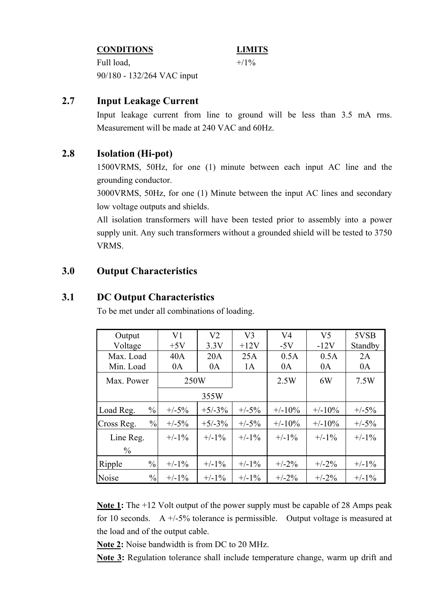#### **CONDITIONS LIMITS**

Full load,  $+/1\%$ 90/180 - 132/264 VAC input

#### **2.7 Input Leakage Current**

Input leakage current from line to ground will be less than 3.5 mA rms. Measurement will be made at 240 VAC and 60Hz.

#### **2.8 Isolation (Hi-pot)**

1500VRMS, 50Hz, for one (1) minute between each input AC line and the grounding conductor.

3000VRMS, 50Hz, for one (1) Minute between the input AC lines and secondary low voltage outputs and shields.

All isolation transformers will have been tested prior to assembly into a power supply unit. Any such transformers without a grounded shield will be tested to 3750 VRMS.

#### **3.0 Output Characteristics**

#### **3.1 DC Output Characteristics**

To be met under all combinations of loading.

| Output                      | V <sub>1</sub> |          |          | V <sub>4</sub> | V <sub>5</sub> | 5VSB     |
|-----------------------------|----------------|----------|----------|----------------|----------------|----------|
| Voltage                     | $+5V$          | 3.3V     | $+12V$   | $-5V$          | $-12V$         | Standby  |
| Max. Load                   | 40A            | 20A      | 25A      | 0.5A           | 0.5A           | 2A       |
| Min. Load                   | 0A             | 0A       | 1A       | 0A             | 0A             | 0A       |
| Max. Power                  | 250W           |          |          | 2.5W           | 6W             | 7.5W     |
|                             |                | 355W     |          |                |                |          |
| $\frac{0}{0}$<br>Load Reg.  | $+/-5%$        | $+5/-3%$ | $+/-5%$  | $+/-10\%$      | $+/-10\%$      | $+/-5%$  |
| $\frac{0}{0}$<br>Cross Reg. | $+/-5%$        | $+5/-3%$ | $+/-5%$  | $+/-10\%$      | $+/-10%$       | $+/-5%$  |
| Line Reg.                   | $+/-1\%$       | $+/-1\%$ | $+/-1\%$ | $+/-1\%$       | $+/-1\%$       | $+/-1\%$ |
| $\frac{0}{0}$               |                |          |          |                |                |          |
| $\frac{0}{0}$<br>Ripple     | $+/-1\%$       | $+/-1\%$ | $+/-1\%$ | $+/-2\%$       | $+/-2\%$       | $+/-1\%$ |
| Noise<br>$\frac{0}{0}$      | $+/-1\%$       | $+/-1\%$ | $+/-1\%$ | $+/-2\%$       | $+/-2\%$       | $+/-1\%$ |

**Note 1:** The +12 Volt output of the power supply must be capable of 28 Amps peak for 10 seconds. A  $+/-5\%$  tolerance is permissible. Output voltage is measured at the load and of the output cable.

**Note 2:** Noise bandwidth is from DC to 20 MHz.

**Note 3:** Regulation tolerance shall include temperature change, warm up drift and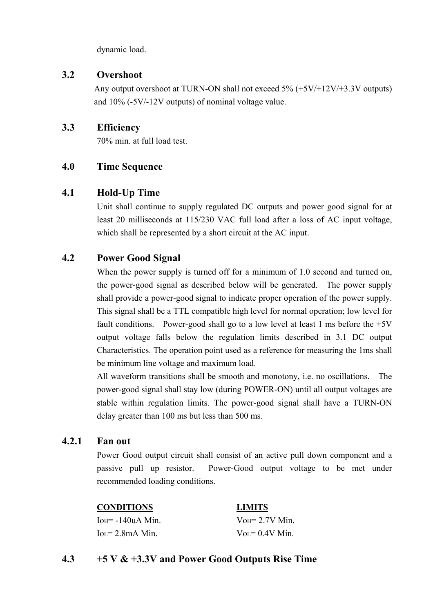dynamic load.

#### **3.2 Overshoot**

Any output overshoot at TURN-ON shall not exceed 5% (+5V/+12V/+3.3V outputs) and 10% (-5V/-12V outputs) of nominal voltage value.

#### **3.3 Efficiency**

70% min. at full load test.

#### **4.0 Time Sequence**

#### **4.1 Hold-Up Time**

Unit shall continue to supply regulated DC outputs and power good signal for at least 20 milliseconds at 115/230 VAC full load after a loss of AC input voltage, which shall be represented by a short circuit at the AC input.

#### **4.2 Power Good Signal**

When the power supply is turned off for a minimum of 1.0 second and turned on, the power-good signal as described below will be generated. The power supply shall provide a power-good signal to indicate proper operation of the power supply. This signal shall be a TTL compatible high level for normal operation; low level for fault conditions. Power-good shall go to a low level at least 1 ms before the  $+5V$ output voltage falls below the regulation limits described in 3.1 DC output Characteristics. The operation point used as a reference for measuring the 1ms shall be minimum line voltage and maximum load.

All waveform transitions shall be smooth and monotony, i.e. no oscillations. The power-good signal shall stay low (during POWER-ON) until all output voltages are stable within regulation limits. The power-good signal shall have a TURN-ON delay greater than 100 ms but less than 500 ms.

#### **4.2.1 Fan out**

Power Good output circuit shall consist of an active pull down component and a passive pull up resistor. Power-Good output voltage to be met under recommended loading conditions.

 **CONDITIONS LIMITS**  $I_{OH} = -140uA$  Min.  $V_{OH} = 2.7V$  Min.  $I_{\text{O}} = 2.8 \text{ mA}$  Min.  $V_{\text{O}} = 0.4 \text{ V}$  Min.

#### **4.3 +5 V & +3.3V and Power Good Outputs Rise Time**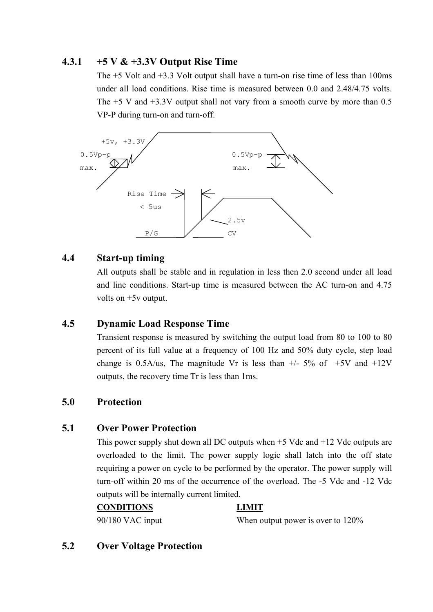#### **4.3.1 +5 V & +3.3V Output Rise Time**

The +5 Volt and +3.3 Volt output shall have a turn-on rise time of less than 100ms under all load conditions. Rise time is measured between 0.0 and 2.48/4.75 volts. The  $+5$  V and  $+3.3V$  output shall not vary from a smooth curve by more than 0.5 VP-P during turn-on and turn-off.



#### **4.4 Start-up timing**

All outputs shall be stable and in regulation in less then 2.0 second under all load and line conditions. Start-up time is measured between the AC turn-on and 4.75 volts on +5v output.

#### **4.5 Dynamic Load Response Time**

Transient response is measured by switching the output load from 80 to 100 to 80 percent of its full value at a frequency of 100 Hz and 50% duty cycle, step load change is  $0.5A/us$ . The magnitude Vr is less than  $+/- 5\%$  of  $+5V$  and  $+12V$ outputs, the recovery time Tr is less than 1ms.

#### **5.0 Protection**

#### **5.1 Over Power Protection**

This power supply shut down all DC outputs when +5 Vdc and +12 Vdc outputs are overloaded to the limit. The power supply logic shall latch into the off state requiring a power on cycle to be performed by the operator. The power supply will turn-off within 20 ms of the occurrence of the overload. The -5 Vdc and -12 Vdc outputs will be internally current limited.

#### **CONDITIONS LIMIT**

90/180 VAC input When output power is over to 120%

#### **5.2 Over Voltage Protection**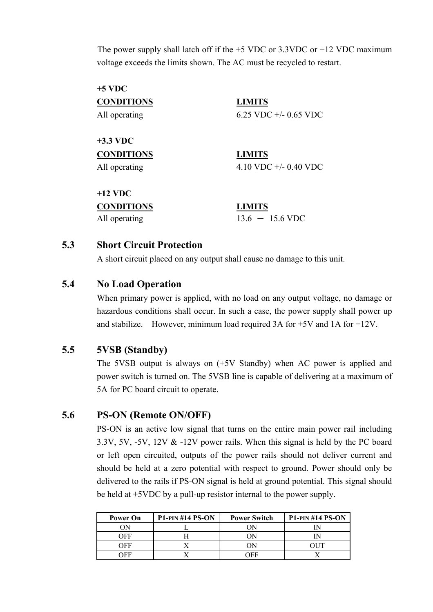The power supply shall latch off if the  $+5$  VDC or 3.3VDC or  $+12$  VDC maximum voltage exceeds the limits shown. The AC must be recycled to restart.

| $+5$ VDC          |                           |
|-------------------|---------------------------|
| <b>CONDITIONS</b> | <b>LIMITS</b>             |
| All operating     | 6.25 VDC $+/- 0.65$ VDC   |
| $+3.3$ VDC        |                           |
| <b>CONDITIONS</b> | <b>LIMITS</b>             |
| All operating     | 4.10 VDC $+/- 0.40$ VDC   |
| $+12$ VDC         |                           |
| <b>CONDITIONS</b> | <b>LIMITS</b>             |
| All operating     | $13.6 - 15.6 \text{ VDC}$ |

#### **5.3 Short Circuit Protection**

A short circuit placed on any output shall cause no damage to this unit.

#### **5.4 No Load Operation**

When primary power is applied, with no load on any output voltage, no damage or hazardous conditions shall occur. In such a case, the power supply shall power up and stabilize. However, minimum load required 3A for +5V and 1A for +12V.

#### **5.5 5VSB (Standby)**

The 5VSB output is always on (+5V Standby) when AC power is applied and power switch is turned on. The 5VSB line is capable of delivering at a maximum of 5A for PC board circuit to operate.

#### **5.6 PS-ON (Remote ON/OFF)**

PS-ON is an active low signal that turns on the entire main power rail including 3.3V, 5V, -5V, 12V & -12V power rails. When this signal is held by the PC board or left open circuited, outputs of the power rails should not deliver current and should be held at a zero potential with respect to ground. Power should only be delivered to the rails if PS-ON signal is held at ground potential. This signal should be held at +5VDC by a pull-up resistor internal to the power supply.

| <b>Power On</b> | $P1-PIN #14 PS-ON$ | <b>Power Switch</b> | $P1-PIN #14 PS-ON$ |
|-----------------|--------------------|---------------------|--------------------|
| ЭN              |                    |                     |                    |
| )FF             |                    |                     |                    |
| )EF             |                    |                     |                    |
|                 |                    | ЭFΕ                 |                    |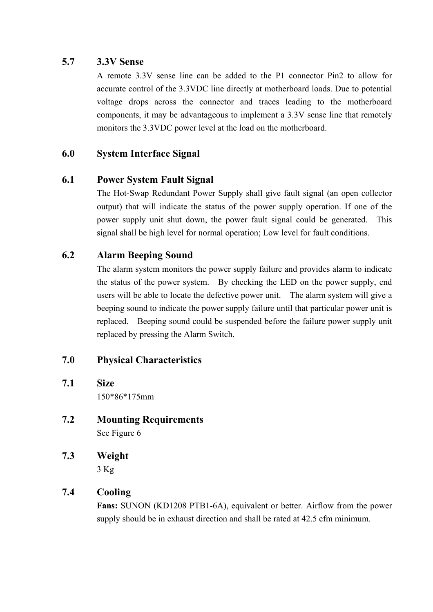#### **5.7 3.3V Sense**

A remote 3.3V sense line can be added to the P1 connector Pin2 to allow for accurate control of the 3.3VDC line directly at motherboard loads. Due to potential voltage drops across the connector and traces leading to the motherboard components, it may be advantageous to implement a 3.3V sense line that remotely monitors the 3.3VDC power level at the load on the motherboard.

#### **6.0 System Interface Signal**

#### **6.1 Power System Fault Signal**

The Hot-Swap Redundant Power Supply shall give fault signal (an open collector output) that will indicate the status of the power supply operation. If one of the power supply unit shut down, the power fault signal could be generated. This signal shall be high level for normal operation; Low level for fault conditions.

#### **6.2 Alarm Beeping Sound**

The alarm system monitors the power supply failure and provides alarm to indicate the status of the power system. By checking the LED on the power supply, end users will be able to locate the defective power unit. The alarm system will give a beeping sound to indicate the power supply failure until that particular power unit is replaced. Beeping sound could be suspended before the failure power supply unit replaced by pressing the Alarm Switch.

### **7.0 Physical Characteristics**

- **7.1 Size**  150\*86\*175mm
- **7.2 Mounting Requirements**  See Figure 6
- **7.3 Weight**   $3$  Kg

#### **7.4 Cooling**

**Fans:** SUNON (KD1208 PTB1-6A), equivalent or better. Airflow from the power supply should be in exhaust direction and shall be rated at 42.5 cfm minimum.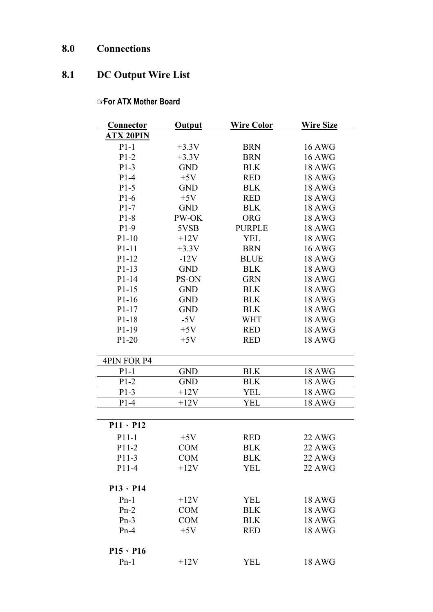# **8.0 Connections**

# **8.1 DC Output Wire List**

#### ☞ **For ATX Mother Board**

| Connector          | <b>Output</b> | <b>Wire Color</b> | <b>Wire Size</b> |
|--------------------|---------------|-------------------|------------------|
| <b>ATX 20PIN</b>   |               |                   |                  |
| $P1-1$             | $+3.3V$       | <b>BRN</b>        | <b>16 AWG</b>    |
| $P1-2$             | $+3.3V$       | <b>BRN</b>        | <b>16 AWG</b>    |
| $P1-3$             | <b>GND</b>    | <b>BLK</b>        | <b>18 AWG</b>    |
| $P1-4$             | $+5V$         | <b>RED</b>        | <b>18 AWG</b>    |
| $P1-5$             | <b>GND</b>    | <b>BLK</b>        | <b>18 AWG</b>    |
| $P1-6$             | $+5V$         | <b>RED</b>        | <b>18 AWG</b>    |
| $P1-7$             | <b>GND</b>    | <b>BLK</b>        | <b>18 AWG</b>    |
| $P1-8$             | PW-OK         | <b>ORG</b>        | <b>18 AWG</b>    |
| $P1-9$             | 5VSB          | <b>PURPLE</b>     | <b>18 AWG</b>    |
| $P1-10$            | $+12V$        | <b>YEL</b>        | <b>18 AWG</b>    |
| P1-11              | $+3.3V$       | <b>BRN</b>        | <b>16 AWG</b>    |
| P1-12              | $-12V$        | <b>BLUE</b>       | <b>18 AWG</b>    |
| $P1-13$            | <b>GND</b>    | <b>BLK</b>        | <b>18 AWG</b>    |
| P1-14              | PS-ON         | <b>GRN</b>        | 18 AWG           |
| $P1-15$            | <b>GND</b>    | <b>BLK</b>        | <b>18 AWG</b>    |
| $P1-16$            | <b>GND</b>    | <b>BLK</b>        | <b>18 AWG</b>    |
| $P1-17$            | <b>GND</b>    | <b>BLK</b>        | <b>18 AWG</b>    |
| P1-18              | $-5V$         | <b>WHT</b>        | 18 AWG           |
| P1-19              | $+5V$         | <b>RED</b>        | 18 AWG           |
| $P1-20$            | $+5V$         | <b>RED</b>        | <b>18 AWG</b>    |
| <b>4PIN FOR P4</b> |               |                   |                  |
| $P1-1$             | <b>GND</b>    | <b>BLK</b>        | <b>18 AWG</b>    |
| $P1-2$             | <b>GND</b>    | <b>BLK</b>        | <b>18 AWG</b>    |
| $P1-3$             | $+12V$        | YEL               | <b>18 AWG</b>    |
| $P1-4$             | $+12V$        | YEL               | <b>18 AWG</b>    |
| $P11 \cdot P12$    |               |                   |                  |
| $P11-1$            | $+5V$         | <b>RED</b>        | <b>22 AWG</b>    |
| P11-2              | <b>COM</b>    | <b>BLK</b>        | <b>22 AWG</b>    |
| P11-3              | <b>COM</b>    | <b>BLK</b>        | 22 AWG           |
| P11-4              | $+12V$        | <b>YEL</b>        | <b>22 AWG</b>    |
| $P13 \cdot P14$    |               |                   |                  |
| $Pn-1$             | $+12V$        | <b>YEL</b>        | <b>18 AWG</b>    |
| $Pn-2$             | <b>COM</b>    | <b>BLK</b>        | <b>18 AWG</b>    |
| $Pn-3$             | <b>COM</b>    | <b>BLK</b>        | <b>18 AWG</b>    |
| $Pn-4$             | $+5V$         | <b>RED</b>        | <b>18 AWG</b>    |
| $P15 \cdot P16$    |               |                   |                  |
| $Pn-1$             | $+12V$        | <b>YEL</b>        | <b>18 AWG</b>    |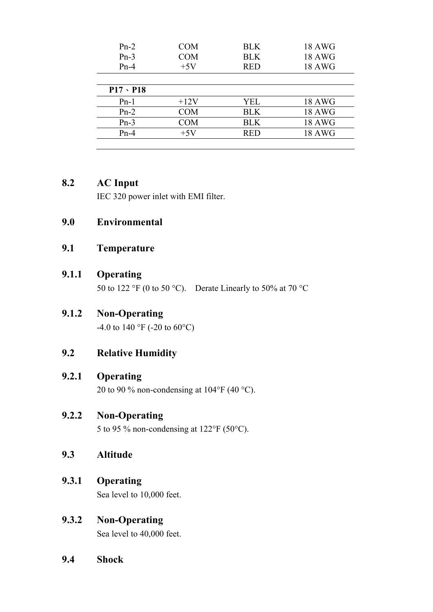| $Pn-2$<br>$Pn-3$<br>$Pn-4$ | <b>COM</b><br><b>COM</b><br>$+5V$ | <b>BLK</b><br><b>BLK</b><br><b>RED</b> | 18 AWG<br><b>18 AWG</b><br><b>18 AWG</b> |
|----------------------------|-----------------------------------|----------------------------------------|------------------------------------------|
| $P17 \cdot P18$            |                                   |                                        |                                          |
| $Pn-1$                     | $+12V$                            | YEL                                    | <b>18 AWG</b>                            |
| $Pn-2$                     | <b>COM</b>                        | <b>BLK</b>                             | <b>18 AWG</b>                            |
| $Pn-3$                     | <b>COM</b>                        | <b>BLK</b>                             | <b>18 AWG</b>                            |
| $Pn-4$                     | $+5V$                             | <b>RED</b>                             | <b>18 AWG</b>                            |
|                            |                                   |                                        |                                          |

#### **8.2 AC Input**

IEC 320 power inlet with EMI filter.

#### **9.0 Environmental**

#### **9.1 Temperature**

#### **9.1.1 Operating**

50 to 122 °F (0 to 50 °C). Derate Linearly to 50% at 70 °C

#### **9.1.2 Non-Operating**

-4.0 to 140 °F (-20 to 60°C)

#### **9.2 Relative Humidity**

#### **9.2.1 Operating**

20 to 90 % non-condensing at  $104^{\circ}F(40^{\circ}C)$ .

#### **9.2.2 Non-Operating**

5 to 95 % non-condensing at 122°F (50°C).

#### **9.3 Altitude**

#### **9.3.1 Operating**

Sea level to 10,000 feet.

#### **9.3.2 Non-Operating**

Sea level to 40,000 feet.

**9.4 Shock**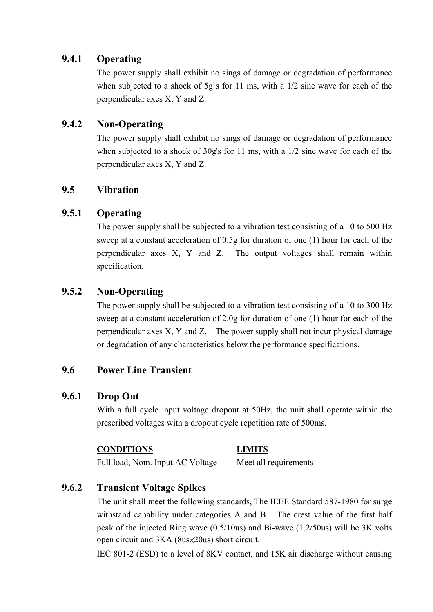#### **9.4.1 Operating**

The power supply shall exhibit no sings of damage or degradation of performance when subjected to a shock of 5g's for 11 ms, with a  $1/2$  sine wave for each of the perpendicular axes X, Y and Z.

#### **9.4.2 Non-Operating**

The power supply shall exhibit no sings of damage or degradation of performance when subjected to a shock of 30g's for 11 ms, with a 1/2 sine wave for each of the perpendicular axes X, Y and Z.

#### **9.5 Vibration**

### **9.5.1 Operating**

The power supply shall be subjected to a vibration test consisting of a 10 to 500 Hz sweep at a constant acceleration of 0.5g for duration of one (1) hour for each of the perpendicular axes X, Y and Z. The output voltages shall remain within specification.

### **9.5.2 Non-Operating**

The power supply shall be subjected to a vibration test consisting of a 10 to 300 Hz sweep at a constant acceleration of 2.0g for duration of one (1) hour for each of the perpendicular axes X, Y and Z. The power supply shall not incur physical damage or degradation of any characteristics below the performance specifications.

#### **9.6 Power Line Transient**

#### **9.6.1 Drop Out**

With a full cycle input voltage dropout at 50Hz, the unit shall operate within the prescribed voltages with a dropout cycle repetition rate of 500ms.

#### **CONDITIONS LIMITS**

Full load, Nom. Input AC Voltage Meet all requirements

### **9.6.2 Transient Voltage Spikes**

The unit shall meet the following standards, The IEEE Standard 587-1980 for surge withstand capability under categories A and B. The crest value of the first half peak of the injected Ring wave (0.5/10us) and Bi-wave (1.2/50us) will be 3K volts open circuit and 3KA (8us×20us) short circuit.

IEC 801-2 (ESD) to a level of 8KV contact, and 15K air discharge without causing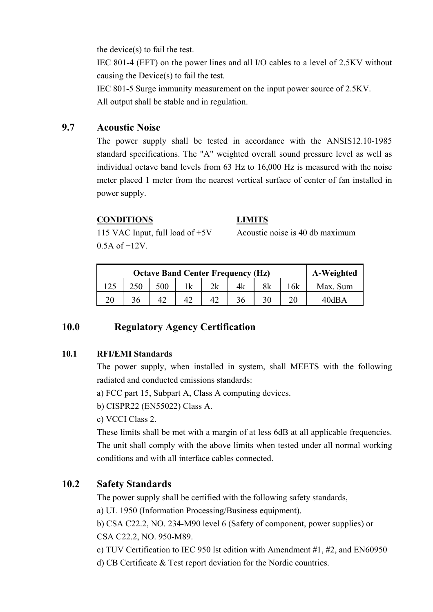the device(s) to fail the test.

IEC 801-4 (EFT) on the power lines and all I/O cables to a level of 2.5KV without causing the Device(s) to fail the test.

 IEC 801-5 Surge immunity measurement on the input power source of 2.5KV. All output shall be stable and in regulation.

### **9.7 Acoustic Noise**

The power supply shall be tested in accordance with the ANSIS12.10-1985 standard specifications. The "A" weighted overall sound pressure level as well as individual octave band levels from 63 Hz to 16,000 Hz is measured with the noise meter placed 1 meter from the nearest vertical surface of center of fan installed in power supply.

#### **CONDITIONS LIMITS**

 $0.5A$  of  $+12V$ .

115 VAC Input, full load of +5V Acoustic noise is 40 db maximum

|  | A-Weighted |  |  |    |          |
|--|------------|--|--|----|----------|
|  | 500        |  |  | 6k | Max. Sum |
|  |            |  |  |    | 40dBA    |

### **10.0 Regulatory Agency Certification**

#### **10.1 RFI/EMI Standards**

The power supply, when installed in system, shall MEETS with the following radiated and conducted emissions standards:

a) FCC part 15, Subpart A, Class A computing devices.

b) CISPR22 (EN55022) Class A.

c) VCCI Class 2.

These limits shall be met with a margin of at less 6dB at all applicable frequencies. The unit shall comply with the above limits when tested under all normal working conditions and with all interface cables connected.

### **10.2 Safety Standards**

The power supply shall be certified with the following safety standards,

a) UL 1950 (Information Processing/Business equipment).

b) CSA C22.2, NO. 234-M90 level 6 (Safety of component, power supplies) or CSA C22.2, NO. 950-M89.

- c) TUV Certification to IEC 950 lst edition with Amendment #1, #2, and EN60950
- d) CB Certificate & Test report deviation for the Nordic countries.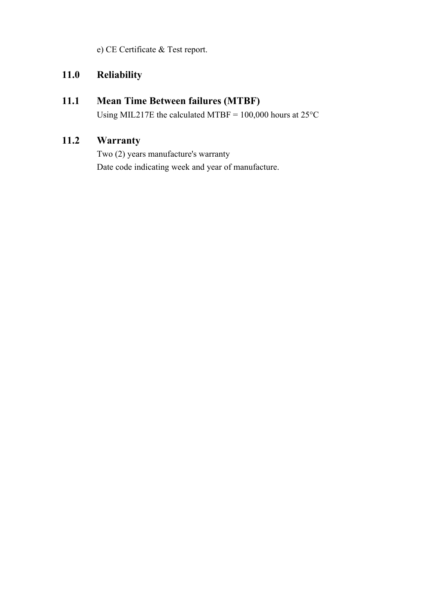e) CE Certificate & Test report.

### **11.0 Reliability**

### **11.1 Mean Time Between failures (MTBF)**

Using MIL217E the calculated MTBF = 100,000 hours at 25°C

### **11.2 Warranty**

Two (2) years manufacture's warranty Date code indicating week and year of manufacture.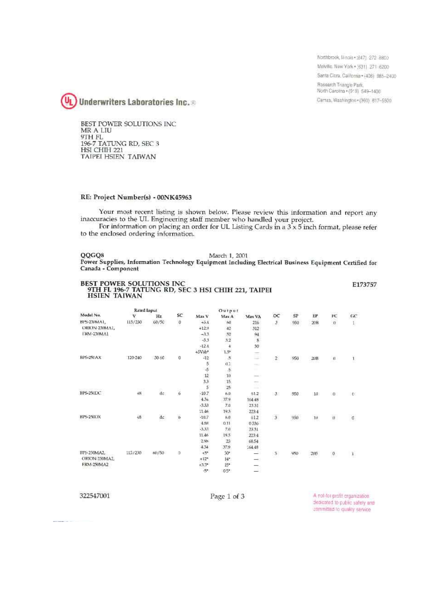Northbrook, Minais . (847) 272 8800 Melville: New York . (631) 271-6200 Santa Clara, California + (408) 885-2400 Rasearch Triangle Park, North Carolina \* (919) 549-1400 Camas, Washington + (360) 817-5500



BEST POWER SOLUTIONS INC MR A LIU 9TH FL<br>196-7 TATUNG RD, SEC 3<br>HSI CHIH 221 TAIPEI HSIEN TAIWAN

#### RE: Project Number(s) - 00NK45963

Your most recent listing is shown below. Please review this information and report any inaccuracies to the UL Engineering staff member who handled your project.

For information on placing an order for UL Listing Cards in a  $3 \times 5$  inch format, please refer to the enclosed ordering information.

#### QQGQ8

March 1, 2001 Power Supplies, Information Technology Equipment Including Electrical Business Equipment Certified for Canada - Component

| <b>BEST POWER SOLUTIONS INC</b><br>9TH FL 196-7 TATUNG RD, SEC 3 HSI CHIH 221, TAIPEI |             |       |                         |                |                |                                                                                                                                                                                                                                                                                                                                                                                                                                                                            |                         |           |     |               | E173757        |
|---------------------------------------------------------------------------------------|-------------|-------|-------------------------|----------------|----------------|----------------------------------------------------------------------------------------------------------------------------------------------------------------------------------------------------------------------------------------------------------------------------------------------------------------------------------------------------------------------------------------------------------------------------------------------------------------------------|-------------------------|-----------|-----|---------------|----------------|
| <b>HSIEN TAIWAN</b>                                                                   |             |       |                         |                |                |                                                                                                                                                                                                                                                                                                                                                                                                                                                                            |                         |           |     |               |                |
|                                                                                       | Rated Input |       |                         |                | Output         |                                                                                                                                                                                                                                                                                                                                                                                                                                                                            |                         |           |     |               |                |
| Model No.                                                                             | v           | Hz    | SC                      | Max V          | Max A          | Max VA                                                                                                                                                                                                                                                                                                                                                                                                                                                                     | OC                      | <b>SP</b> | EР  | FC            | cc             |
| BPS-230MA1,                                                                           | 115/230     | 60/50 | $\overline{\mathbf{0}}$ | $+5.4$         | F4I            | 216                                                                                                                                                                                                                                                                                                                                                                                                                                                                        | $\mathsf{3}$            | 950       | 20B | $\eta$        | 1,             |
| ORION-230MAL                                                                          |             |       |                         | $+12.9$        | 42             | 312                                                                                                                                                                                                                                                                                                                                                                                                                                                                        |                         |           |     |               |                |
| FRM-230MA1                                                                            |             |       |                         | $-3.3$         | 52             | 94                                                                                                                                                                                                                                                                                                                                                                                                                                                                         |                         |           |     |               |                |
|                                                                                       |             |       |                         | $-5.3$         | 5.2            | 8                                                                                                                                                                                                                                                                                                                                                                                                                                                                          |                         |           |     |               |                |
|                                                                                       |             |       |                         | $-12.4$        | 4              | 30                                                                                                                                                                                                                                                                                                                                                                                                                                                                         |                         |           |     |               |                |
|                                                                                       |             |       |                         | $+5Vsb*$       | $1.5^{\circ}$  | ÷                                                                                                                                                                                                                                                                                                                                                                                                                                                                          |                         |           |     |               |                |
| BPS-250AX                                                                             | 120-240     | 50-60 | 0                       | $-12$          | .5             | $=$                                                                                                                                                                                                                                                                                                                                                                                                                                                                        | $\overline{2}$          | 950       | 20B | $\mathfrak u$ | $\mathbf{1}$   |
|                                                                                       |             |       |                         | 5              | 0.2            | $\frac{1}{2} \left( \frac{1}{2} \right) \left( \frac{1}{2} \right) \left( \frac{1}{2} \right) \left( \frac{1}{2} \right)$                                                                                                                                                                                                                                                                                                                                                  |                         |           |     |               |                |
|                                                                                       |             |       |                         | $-\frac{5}{5}$ | $\overline{5}$ |                                                                                                                                                                                                                                                                                                                                                                                                                                                                            |                         |           |     |               |                |
|                                                                                       |             |       |                         | 12             | 10             | $\frac{1}{2} \left( \frac{1}{2} \right) \left( \frac{1}{2} \right) \left( \frac{1}{2} \right) \left( \frac{1}{2} \right) \left( \frac{1}{2} \right) \left( \frac{1}{2} \right) \left( \frac{1}{2} \right) \left( \frac{1}{2} \right) \left( \frac{1}{2} \right) \left( \frac{1}{2} \right) \left( \frac{1}{2} \right) \left( \frac{1}{2} \right) \left( \frac{1}{2} \right) \left( \frac{1}{2} \right) \left( \frac{1}{2} \right) \left( \frac{1}{2} \right) \left( \frac$ |                         |           |     |               |                |
|                                                                                       |             |       |                         | 3.3            | 15             | $\sim$                                                                                                                                                                                                                                                                                                                                                                                                                                                                     |                         |           |     |               |                |
|                                                                                       |             | σī.   |                         | 5              | 25             | <b>COLLEGE</b>                                                                                                                                                                                                                                                                                                                                                                                                                                                             |                         |           |     |               |                |
| BPS-250DC                                                                             | 48          | de.   | $\ddot{6}$              | $-10.7$        | 6.0            | 61.2                                                                                                                                                                                                                                                                                                                                                                                                                                                                       | $\mathbf{3}$            | 950       | 10  | $\alpha$      | $\mathbb{D}$   |
|                                                                                       |             |       |                         | $4.3 +$        | 37.9           | 164.48                                                                                                                                                                                                                                                                                                                                                                                                                                                                     |                         |           |     |               |                |
|                                                                                       |             |       |                         | $-3.33$        | 7.0            | 23.31                                                                                                                                                                                                                                                                                                                                                                                                                                                                      |                         |           |     |               |                |
|                                                                                       |             |       |                         | 11.46          | 19.5           | 223.4                                                                                                                                                                                                                                                                                                                                                                                                                                                                      |                         |           |     |               |                |
| BPS-250DX                                                                             | 48          | de    | b                       | $-10.7$        | 6.0            | 612                                                                                                                                                                                                                                                                                                                                                                                                                                                                        | $\overline{\mathbf{3}}$ | 950       | 111 | ù.            | $\mathfrak{a}$ |
|                                                                                       |             |       |                         | 4.88           | 0.11           | 0.536                                                                                                                                                                                                                                                                                                                                                                                                                                                                      |                         |           |     |               |                |
|                                                                                       |             |       |                         | $-3.37$        | 7d             | 23.31                                                                                                                                                                                                                                                                                                                                                                                                                                                                      |                         |           |     |               |                |
|                                                                                       |             |       |                         | 11.46          | 19.5           | 2234                                                                                                                                                                                                                                                                                                                                                                                                                                                                       |                         |           |     |               |                |
|                                                                                       |             |       |                         | 2.98           | 23             | 68.54                                                                                                                                                                                                                                                                                                                                                                                                                                                                      |                         |           |     |               |                |
|                                                                                       |             |       |                         | 4,74           | 37.9           | 164.48                                                                                                                                                                                                                                                                                                                                                                                                                                                                     |                         |           |     |               |                |
| BPS-250MA2.                                                                           | 115/230     | 60/50 | $\alpha$                | $+5*$          | 30°            | -                                                                                                                                                                                                                                                                                                                                                                                                                                                                          | 3.                      | 950       | 208 | $\mathfrak o$ | $\mathbf{1}$   |
| ORION-250MA2.                                                                         |             |       |                         | $+12*$         | $14 -$         | -                                                                                                                                                                                                                                                                                                                                                                                                                                                                          |                         |           |     |               |                |
| FRM-250MA2                                                                            |             |       |                         | $+3.3*$        | $15*$          | -                                                                                                                                                                                                                                                                                                                                                                                                                                                                          |                         |           |     |               |                |
|                                                                                       |             |       |                         | -5*            | $0.5*$         | -                                                                                                                                                                                                                                                                                                                                                                                                                                                                          |                         |           |     |               |                |

322547001

The company of the company of

Page 1 of 3

A not-for-profit crganization dedicated to public safety and committed to quality service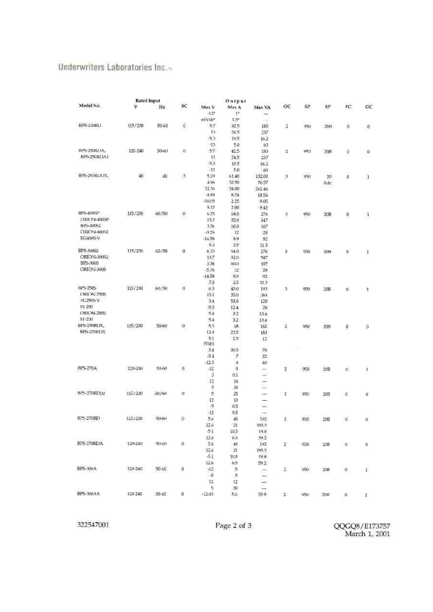#### Underwriters Laboratories Inc.-

|                         | Rated Input |           |                   |                 | Output           |                          |                         |     |                 |                  |              |
|-------------------------|-------------|-----------|-------------------|-----------------|------------------|--------------------------|-------------------------|-----|-----------------|------------------|--------------|
| Model No.               | v           | Hz        | SC                | Max V<br>$-12"$ | Max A<br>18      | Max VA                   | oc                      | SP  | EP              | FC.              | cc           |
|                         |             |           |                   | +5Vsb*          | $1.5^{\circ}$    |                          |                         |     |                 |                  |              |
| BPS-250RU               | 115/230     | 50-60     | ¢                 | 5.7             | 42.5             | 180                      | $\tilde{z}$             | 950 | 20B             | ŋ                | Ū            |
|                         |             |           |                   | 13.             | 24.5             | 237                      |                         |     |                 |                  |              |
|                         |             |           |                   | $-5.3$          | 10.5             | 16.2                     |                         |     |                 |                  |              |
|                         |             |           |                   | $-13$           | 5.0              | 63                       |                         |     |                 |                  |              |
| BPS-250RDA,             | 120-240     | $50 - 60$ | $\mathbf{q}$      | 57              | 42.5             | 180                      | $\mathbf{2}$            | 950 | 20B             | O                | 0            |
| BPS-250RDA1             |             |           |                   | 13              | 24.5             | 237                      |                         |     |                 |                  |              |
|                         |             |           |                   | $-5.3$          | 10.5             | 16.2                     |                         |     |                 |                  |              |
|                         |             |           |                   | $-13$           | 5.0              | 60                       |                         |     |                 |                  |              |
| BPS-250RDDX,            | 48          | dc        | $\mathfrak{Z}$    | 5.29            | 61.40            | 132.00                   | 3                       | 950 | 20 <sub>1</sub> | $\boldsymbol{0}$ | $\mathbf{1}$ |
|                         |             |           |                   | 4.96            | 32.50            | 7657                     |                         |     | Adc             |                  |              |
|                         |             |           |                   | 12.36           | 34.00            | 261.46                   |                         |     |                 |                  |              |
|                         |             |           |                   | $-4.88$         | 8.74             | 18.56                    |                         |     |                 |                  |              |
|                         |             |           |                   | $-10.05$        | 2.25             | 9.05                     |                         |     |                 |                  |              |
|                         |             |           |                   | 5.17            | 2.00             | 9.42                     |                         |     |                 |                  |              |
| <b>BPS-400SP</b>        | 115/230     | 60/50     | o                 | 6,33            | 64.0             | 276                      | 3                       | 950 | 20B             | $\pmb{0}$        | $\mathbf{1}$ |
| ORION-400SP             |             |           |                   | 13.7            | 52.0             | 547                      |                         |     |                 |                  |              |
| BPS-40052               |             |           |                   | 1.36            | 50.0             | 107                      |                         |     |                 |                  |              |
| ORION-40052             |             |           |                   | $-5.76$         | 12               | 28                       |                         |     |                 |                  |              |
| EG400S-V                |             |           |                   | $-14.58$        | 8.9              | 82                       |                         |     |                 |                  |              |
|                         |             |           |                   | 5.3             | 25               | 11.3                     |                         |     |                 |                  |              |
| <b>BPS-300S2</b>        | 115/230     | 60/50     | 0                 | 6.33            | 64.0             | 276                      | э                       | 950 | 20B             | a.               | 1            |
| ORION-30052<br>BFS-3005 |             |           |                   | 13.7            | 52.0             | 547                      |                         |     |                 |                  |              |
| ORION-300S              |             |           |                   | 3.36            | 60.0             | 107                      |                         |     |                 |                  |              |
|                         |             |           |                   | $-5.76$         | $12^{\circ}$     | 28                       |                         |     |                 |                  |              |
|                         |             |           |                   | $-14.58$<br>53  | 89<br>25         | 82                       |                         |     |                 |                  |              |
| <b>NPS-2505</b>         | 115/230     | 63/50     | n                 | 63              | 45.0             | 11.3                     |                         |     |                 |                  |              |
| ORION-250S              |             |           |                   | 13.1            | 35.0             | 193                      | $\overline{\mathbf{3}}$ | 950 | 20B             | D.               | З,           |
| FX 250S-V               |             |           |                   | 3.4             | 53.0             | 364<br>120               |                         |     |                 |                  |              |
| 51-250                  |             |           |                   | $-5.3$          | 12.4             | 28                       |                         |     |                 |                  |              |
| ORION-2005              |             |           |                   | 5.4             | 32               | 13.6                     |                         |     |                 |                  |              |
| 51-231                  |             |           |                   | 5.4             | 3.2              | 13.6                     |                         |     |                 |                  |              |
| BPS-250RDX,             | 115/230     | 50-60     | $\Omega$          | 5.3             | 48               | 165                      | $\bar{2}$               | 950 | 2013            | ō                | Ø            |
| BPS-270RDX              |             |           |                   | 12.9            | 23.5             | 183                      |                         |     |                 |                  |              |
|                         |             |           |                   | 5.1             | 2.5              | 12                       |                         |     |                 |                  |              |
|                         |             |           |                   | (Vsb)           |                  |                          |                         |     |                 |                  |              |
|                         |             |           |                   | 3.4             | 30.5             | 78                       |                         | I.  |                 |                  |              |
|                         |             |           |                   | $-5.4$          | Ŧ.               | 22                       |                         |     |                 |                  |              |
|                         |             |           |                   | $-12.5$         | $\boldsymbol{A}$ | 40                       |                         |     |                 |                  |              |
| BPS-270A                | 120-240     | 484435.   | $\boldsymbol{0}$  | $-12$           | 5                | -                        | $\overline{z}$          | 950 | 20B             | ü.               | T            |
|                         |             |           |                   | 5               | 0.1              | -                        |                         |     |                 |                  |              |
|                         |             |           |                   | 12.             | 10               | ÷                        |                         |     |                 |                  |              |
|                         |             |           |                   | 5               | 30               | -                        |                         |     |                 |                  |              |
| BPS-270RD(a)            | 115/230     | 50/60     | $\langle \rangle$ | 5               | 25               | $\overline{\phantom{0}}$ | 2                       | 950 | 20B             | ¢                | $\theta$     |
|                         |             |           |                   | 12              | 10               | -                        |                         |     |                 |                  |              |
|                         |             |           |                   | $.5\%$          | 0.5              | $\overline{\phantom{0}}$ |                         |     |                 |                  |              |
|                         |             |           |                   | $-12$           | 0.5              | -                        |                         |     |                 |                  |              |
| <b>BPS-270RD</b>        | 115/230     | Stinl     | $\omega$          | 5.6             | 48               | 192                      | $\mathbf{Z}$            | 950 | 20B             | $\Omega$         | a            |
|                         |             |           |                   | 12.6            | 21               | 195.3                    |                         |     |                 |                  |              |
|                         |             |           |                   | $-51$           | 10.5             | 19.8                     |                         |     |                 |                  |              |
|                         |             |           |                   | 12.6            | 65               | 59.2                     |                         |     |                 |                  |              |
| BPS-270RDA              | 120-240     | 50.60     | $\mathbf{0}$      | 5.6             | 48               | 192                      | z                       | 950 | 20B             | $0$              | Ð            |
|                         |             |           |                   | 12.6            | 21               | 195.7                    |                         |     |                 |                  |              |
|                         |             |           |                   | $-5.1$          | 10.5             | 19.8                     |                         |     |                 |                  |              |
| BPS-300A                | 120-240     | 50.60     |                   | 126             | 6.5              | 59.2                     |                         |     |                 |                  |              |
|                         |             |           | 0                 | $-12$<br>-5     | $\frac{5}{2}$    | Ħ                        | 2.                      | 950 | 2018            | $\eta$           | $1\,$        |
|                         |             |           |                   | 12              | 5                | -                        |                         |     |                 |                  |              |
|                         |             |           |                   | 5.              | 12<br>30         | -                        |                         |     |                 |                  |              |
| BPS-300AX               | 120-240     | 50-60     | 0                 | $-12.03$        | 5.6              | -<br>58.9                | 2                       | 950 | 20B             | $D -$            |              |
|                         |             |           |                   |                 |                  |                          |                         |     |                 |                  | 1.           |
|                         |             |           |                   |                 |                  |                          |                         |     |                 |                  |              |

322547001

QQGQ8/E173757<br>March 1, 2001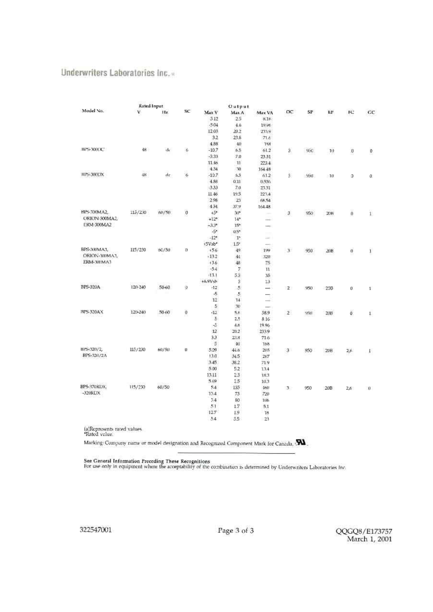#### Underwriters Laboratories Inc.»

|                                             | Rated Input     |          |          | Output                   |                |                                                                                                |              |     |            |                     |                |
|---------------------------------------------|-----------------|----------|----------|--------------------------|----------------|------------------------------------------------------------------------------------------------|--------------|-----|------------|---------------------|----------------|
| Model No.                                   | ٧               | Hz.      | SC.      | Max V                    | Max A          | Max VA                                                                                         | $\alpha$     | SP  | ЕF         | FC.                 | cc             |
|                                             |                 |          |          | 5.12                     | 25             | 8.16                                                                                           |              |     |            |                     |                |
|                                             |                 |          |          | -504                     | 4.6.           | 19.96                                                                                          |              |     |            |                     |                |
|                                             |                 |          |          | 12.03                    | 20.2           | 2319                                                                                           |              |     |            |                     |                |
|                                             |                 |          |          | 3.2                      | 23.8           | 71.6                                                                                           |              |     |            |                     |                |
|                                             |                 |          |          | 4.88                     | 40.            | 188                                                                                            |              |     |            |                     |                |
| BIS-300DC                                   | 48 <sup>1</sup> | $\Delta$ | 6        | $-10.7$                  | 6.5            | 61.2                                                                                           | Э.           | 950 | 10         | Ü                   | $\mathfrak{d}$ |
|                                             |                 |          |          | $-3.33$                  | 7.0            | 23.31                                                                                          |              |     |            |                     |                |
|                                             |                 |          |          | 11.46                    | 11             | 223.4                                                                                          |              |     |            |                     |                |
|                                             |                 |          |          | 4.34                     | 潮              | 164 48                                                                                         |              |     |            |                     |                |
| BIS-300DX                                   | 48              | de       | 6        | $-10.7$                  | 6.5            | 61.2                                                                                           | \$           | 951 | $10^{-1}$  | э                   | 0.             |
|                                             |                 |          |          | 4.88                     | 0.11           | 0.536                                                                                          |              |     |            |                     |                |
|                                             |                 |          |          | 3.33                     | 7.0            | 23.31                                                                                          |              |     |            |                     |                |
|                                             |                 |          |          | 11.46                    | 19.5           | 223.4                                                                                          |              |     |            |                     |                |
|                                             |                 |          |          | 2.98                     | 23             | 68.54                                                                                          |              |     |            |                     |                |
|                                             |                 |          |          | 434                      | 37.9           | 164.48                                                                                         |              |     |            |                     |                |
| BPS-300MA2.                                 | 115/230         | 60/50    | o        | $+5*$                    | $30*$          | $\sim$                                                                                         | ä.           | 950 | 20B        | $\ddot{\mathbf{0}}$ | $\bar{1}$      |
| ORION-300MA2                                |                 |          |          | $+12*$                   | $14*$          | $\frac{1}{2} \left( \frac{1}{2} \right) \left( \frac{1}{2} \right) \left( \frac{1}{2} \right)$ |              |     |            |                     |                |
| ERM-300MA2                                  |                 |          |          | $-3.3*$                  | $15*$          | $\frac{1}{2}$                                                                                  |              |     |            |                     |                |
|                                             |                 |          |          | $-54$                    | $0.5*$         | me.                                                                                            |              |     |            |                     |                |
|                                             |                 |          |          | $-12$ <sup>4</sup>       | $1^{\circ}$    | $\sim$                                                                                         |              |     |            |                     |                |
|                                             |                 |          |          | +5Vsb*                   | $1.5^{\circ}$  | $\sim$                                                                                         |              |     |            |                     |                |
| BPS-300MA3,                                 | 115/230         | 60/50    | Ð        | $+5.6$                   | 49             | 199                                                                                            | $\mathbf{I}$ | 950 | ΔŒ         | Ø.                  | Ŧ              |
| ORION-300MAJ.                               |                 |          |          | $+13.2$                  | 44             | 320                                                                                            |              |     |            |                     |                |
| ERM-300MA3                                  |                 |          |          | 136                      | 48             | 75                                                                                             |              |     |            |                     |                |
|                                             |                 |          |          | $-5.4$                   | 7              | $11\,$                                                                                         |              |     |            |                     |                |
|                                             |                 |          |          | $+1.1$                   | 5.3            | 35                                                                                             |              |     |            |                     |                |
| BPS-320A<br><b>BIS-320AX</b>                |                 |          |          | $+6.9Vsh$                | ä              | $13-$                                                                                          |              |     |            |                     |                |
|                                             | 120-240         | 50-60    | Q.       | $-12$                    | 5              | $\rightarrow$                                                                                  | $2^{\circ}$  | 950 | <b>200</b> | Ü.                  | $\mathbf{I}$   |
|                                             |                 |          |          | $\overline{\mathcal{L}}$ | $\overline{5}$ | $\longrightarrow$                                                                              |              |     |            |                     |                |
|                                             |                 |          |          | 12                       | 14             | $\longrightarrow$                                                                              |              |     |            |                     |                |
|                                             |                 |          |          | 5.                       | 30             | $\overline{\phantom{a}}$                                                                       |              |     |            |                     |                |
|                                             | 120-240         | 50-60    | $\theta$ | $-12$                    | 5.6            | 58.9                                                                                           | $\mathbf{z}$ | 950 | 2013       | ö                   | $\mathbf{1}$   |
|                                             |                 |          |          | $\mathcal{E}$            | 25             | 8.16                                                                                           |              |     |            |                     |                |
|                                             |                 |          |          | -5                       | 4h             | 19.96                                                                                          |              |     |            |                     |                |
|                                             |                 |          |          | 12<br>3.3                | 20.2           | 233.9                                                                                          |              |     |            |                     |                |
|                                             |                 |          |          | 5                        | 23.8<br>40     | 71.6                                                                                           |              |     |            |                     |                |
| BPS-320/2,                                  | 115/230         | 60/50    | $\alpha$ | 5.09                     | 44.6           | 168<br>205                                                                                     |              |     |            |                     |                |
| BPS-321/2A                                  |                 |          |          | 13.0                     | 34.5           | 267                                                                                            | э            | 950 | 20B        | 2,6                 | ı.             |
|                                             |                 |          |          | 3.45                     | 38.2           | 719                                                                                            |              |     |            |                     |                |
|                                             |                 |          |          | 5.00                     | 5.2            | 13.4                                                                                           |              |     |            |                     |                |
|                                             |                 |          |          | 13.11                    | 2.3            | 18.3                                                                                           |              |     |            |                     |                |
|                                             |                 |          |          | 5.69                     | 25             | 10.3                                                                                           |              |     |            |                     |                |
| BPS-370RDX                                  | 115/230         | 60/50    |          | 54                       | 135            | 160                                                                                            |              |     |            |                     |                |
| $-320$ REIX                                 |                 |          |          | 134                      | 73             | 720                                                                                            | 3.           | 950 | 20B        | 2f <sub>1</sub>     | Ü              |
|                                             |                 |          |          | 34                       | 80             | 106                                                                                            |              |     |            |                     |                |
|                                             |                 |          |          | 51                       | 1.7            | 5.1                                                                                            |              |     |            |                     |                |
|                                             |                 |          |          | 127                      | 19             | 18                                                                                             |              |     |            |                     |                |
|                                             |                 |          |          | 5.4                      | $5.5^{\circ}$  | 23                                                                                             |              |     |            |                     |                |
|                                             |                 |          |          |                          |                |                                                                                                |              |     |            |                     |                |
| (a)Represents rated values<br>'Rated value. |                 |          |          |                          |                |                                                                                                |              |     |            |                     |                |

Marking: Company name or model designation and Recognized Component Mark for Canada, .

See General Information Preceding These Recognitions<br>For use only in equipment where the acceptability of the combination is determined by Underwriters Laboratories Inc.

322547001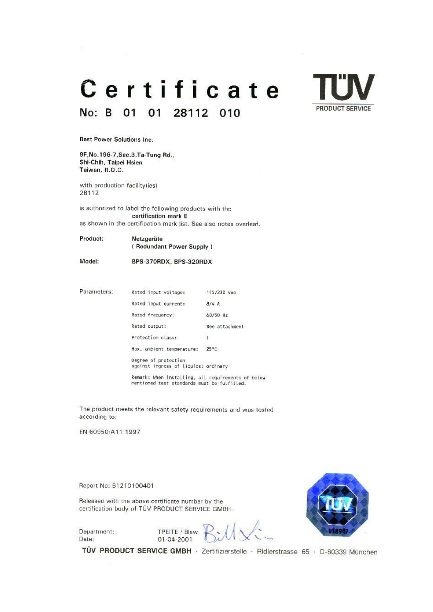#### Certificate No: B 01  $01$ 28112 010



**Best Power Solutions Inc.** 

9F, No. 196-7, Sec. 3, Ta-Tung Rd., Shi-Chih, Taipei Hsien Taiwan, R.O.C.

with production facility(ies) 28112

is authorized to label the following products with the certification mark E as shown in the certification mark list. See also notes overleaf.

Product: Netzgeräte (Redundant Power Supply)

Model:

BPS-370RDX, BPS-320RDX

Parameters: Rated input voltage: 115/230 Vac Rated input current:  $8/4A$ Rated frequency;  $60/50$  Hz Rated output: See attachment Protection class:  $\mathbf{I}$ Max. ambient temperature:  $25°C$ Degree of protection<br>against ingress of liquids: ordinary

Remark: When installing, all requirements of below<br>mentioned test standards must be fulfilled.

The product meets the relevant safety requirements and was tested according to:

01-04-2001

EN 60950/A11:1997

Report No: 61210100401

Released with the above certificate number by the certification body of TÜV PRODUCT SERVICE GMBH.

Department: Date:

TPEITE / Blsw



TÜV PRODUCT SERVICE GMBH · Zertifizierstelle · Ridlerstrasse 65 · D-80339 München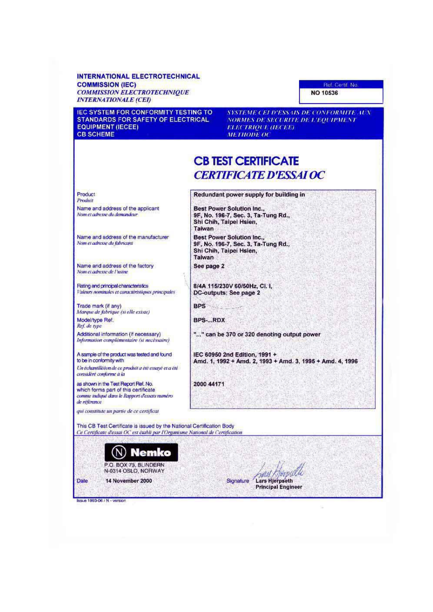#### **INTERNATIONAL ELECTROTECHNICAL COMMISSION (IEC) COMMISSION ELECTROTECHNIQUE INTERNATIONALE (CEI)**

**IEC SYSTEM FOR CONFORMITY TESTING TO** STANDARDS FOR SAFETY OF ELECTRICAL **EQUIPMENT (IECEE) CB SCHEME** 

SYSTEME CEI D'ESSAIS DE CONFORMITE AUX NORMES DE SECURITE DE L'EQUIPMENT **ELECTRIQUE (IECEE) METHODE OC** 

## **CB TEST CERTIFICATE CERTIFICATE D'ESSALOC**

Product Produit Name and address of the applicant Nom et adresse du demandeur

Name and address of the manufacturer Nom et adresse du fabricant

Name and address of the factory Nom et adresse de l'usine

Rating and principal characteristics Valeurs nominales et caractéristiques principales

Trade mark (if any) Marque de fabrique (si elle existe)

Model/type Ref. Ref. de type

Additional information (if necessary) Information complémentaire (si necéssaire)

A sample of the product was tested and found to be in conformity with Un échantiliééen de ce produit à été essayé et a été

considère conforme à la

as shown in the Test Report Ref. No. which forms part of this certificate comme indiqué dans le Rapport d'essais numéro de référance

qui constitute un partie de ce certificat

Redundant power supply for building in

Best Power Solution Inc.,<br>9F, No. 196-7, Sec. 3, Ta-Tung Rd., Shi Chih, Taipei Hsien, Taiwan

Best Power Solution Inc.,<br>9F, No. 196-7, Sec. 3, Ta-Tung Rd., Shi Chih, Taipei Hsien, Talwan

See page 2

8/4A 115/230V 60/50Hz, Cl. I. DC-outputs: See page 2

**BPS** 

BPS-...RDX

"..." can be 370 or 320 denoting output power

IEC 60950 2nd Edition, 1991 + Amd. 1, 1992 + Amd. 2, 1993 + Amd. 3, 1995 + Amd. 4, 1996

2000 44171

This CB Test Certificate is issued by the National Certification Body Ce Certificate d'essai OC est établi par l'Organisme National de Certification



alliti Signature **Lars Hieroseth Principal Engineer** 

Issue 1993-06 / N - version

Date

Ref. Certif. No.

**NO 10536**